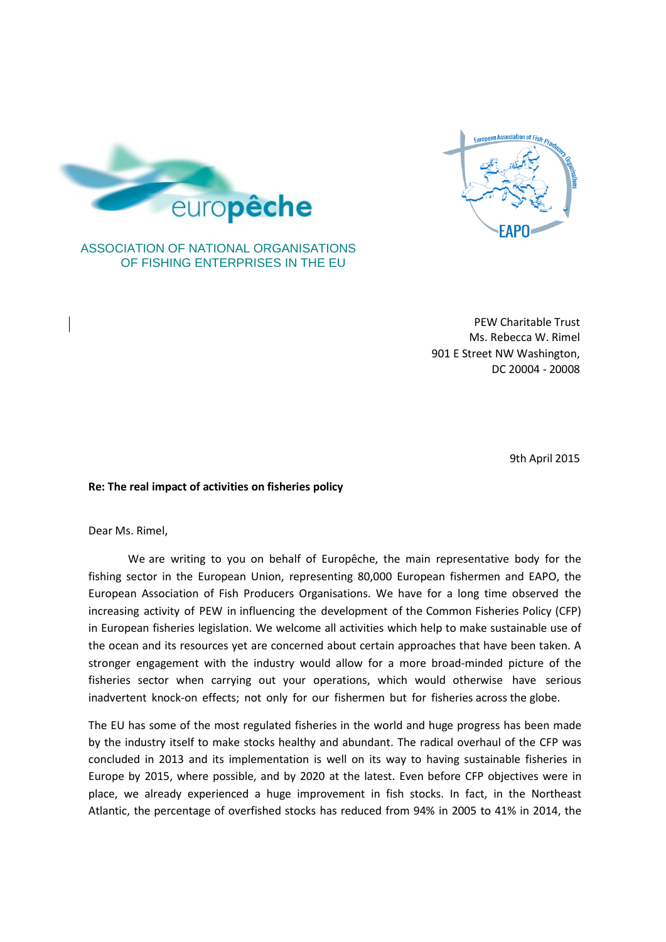



## ASSOCIATION OF NATIONAL ORGANISATIONS OF FISHING ENTERPRISES IN THE EU

PEW Charitable Trust Ms. Rebecca W. Rimel 901 E Street NW Washington, DC 20004 - 20008

9th April 2015

## **Re: The real impact of activities on fisheries policy**

Dear Ms. Rimel,

We are writing to you on behalf of Europêche, the main representative body for the fishing sector in the European Union, representing 80,000 European fishermen and EAPO, the European Association of Fish Producers Organisations. We have for a long time observed the increasing activity of PEW in influencing the development of the Common Fisheries Policy (CFP) in European fisheries legislation. We welcome all activities which help to make sustainable use of the ocean and its resources yet are concerned about certain approaches that have been taken. A stronger engagement with the industry would allow for a more broad-minded picture of the fisheries sector when carrying out your operations, which would otherwise have serious inadvertent knock-on effects; not only for our fishermen but for fisheries across the globe.

The EU has some of the most regulated fisheries in the world and huge progress has been made by the industry itself to make stocks healthy and abundant. The radical overhaul of the CFP was concluded in 2013 and its implementation is well on its way to having sustainable fisheries in Europe by 2015, where possible, and by 2020 at the latest. Even before CFP objectives were in place, we already experienced a huge improvement in fish stocks. In fact, in the Northeast Atlantic, the percentage of overfished stocks has reduced from 94% in 2005 to 41% in 2014, the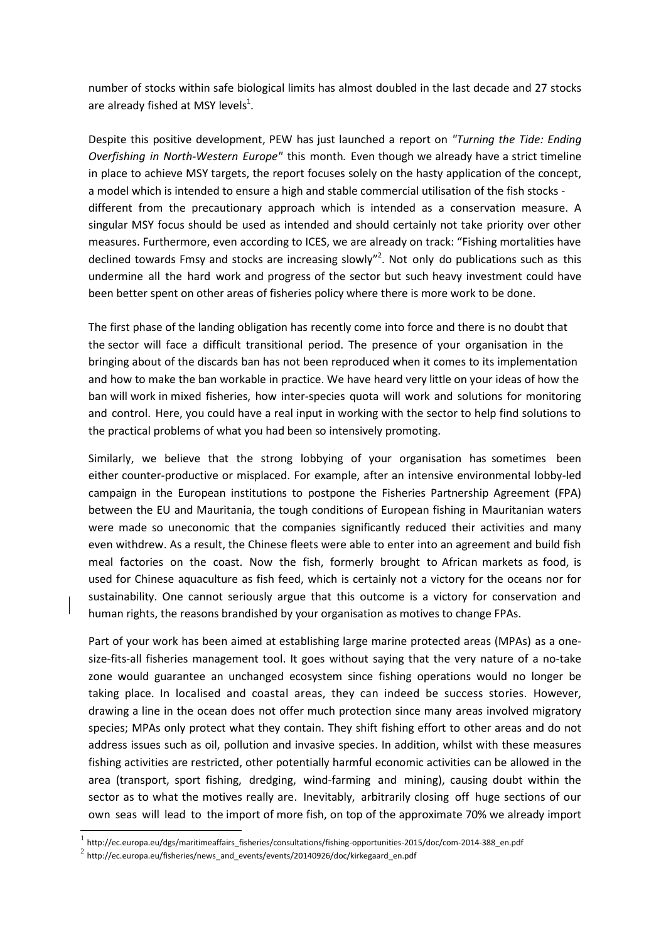number of stocks within safe biological limits has almost doubled in the last decade and 27 stocks are already fished at MSY levels $^1$ .

Despite this positive development, PEW has just launched a report on *"Turning the Tide: Ending Overfishing in North-Western Europe"* this month*.* Even though we already have a strict timeline in place to achieve MSY targets, the report focuses solely on the hasty application of the concept, a model which is intended to ensure a high and stable commercial utilisation of the fish stocks different from the precautionary approach which is intended as a conservation measure. A singular MSY focus should be used as intended and should certainly not take priority over other measures. Furthermore, even according to ICES, we are already on track: "Fishing mortalities have declined towards Fmsy and stocks are increasing slowly"<sup>2</sup>. Not only do publications such as this undermine all the hard work and progress of the sector but such heavy investment could have been better spent on other areas of fisheries policy where there is more work to be done.

The first phase of the landing obligation has recently come into force and there is no doubt that the sector will face a difficult transitional period. The presence of your organisation in the bringing about of the discards ban has not been reproduced when it comes to its implementation and how to make the ban workable in practice. We have heard very little on your ideas of how the ban will work in mixed fisheries, how inter-species quota will work and solutions for monitoring and control. Here, you could have a real input in working with the sector to help find solutions to the practical problems of what you had been so intensively promoting.

Similarly, we believe that the strong lobbying of your organisation has sometimes been either counter-productive or misplaced. For example, after an intensive environmental lobby-led campaign in the European institutions to postpone the Fisheries Partnership Agreement (FPA) between the EU and Mauritania, the tough conditions of European fishing in Mauritanian waters were made so uneconomic that the companies significantly reduced their activities and many even withdrew. As a result, the Chinese fleets were able to enter into an agreement and build fish meal factories on the coast. Now the fish, formerly brought to African markets as food, is used for Chinese aquaculture as fish feed, which is certainly not a victory for the oceans nor for sustainability. One cannot seriously argue that this outcome is a victory for conservation and human rights, the reasons brandished by your organisation as motives to change FPAs.

Part of your work has been aimed at establishing large marine protected areas (MPAs) as a onesize-fits-all fisheries management tool. It goes without saying that the very nature of a no-take zone would guarantee an unchanged ecosystem since fishing operations would no longer be taking place. In localised and coastal areas, they can indeed be success stories. However, drawing a line in the ocean does not offer much protection since many areas involved migratory species; MPAs only protect what they contain. They shift fishing effort to other areas and do not address issues such as oil, pollution and invasive species. In addition, whilst with these measures fishing activities are restricted, other potentially harmful economic activities can be allowed in the area (transport, sport fishing, dredging, wind-farming and mining), causing doubt within the sector as to what the motives really are. Inevitably, arbitrarily closing off huge sections of our own seas will lead to the import of more fish, on top of the approximate 70% we already import

-

<sup>1</sup> http://ec.europa.eu/dgs/maritimeaffairs\_fisheries/consultations/fishing-opportunities-2015/doc/com-2014-388\_en.pdf

 $^2$  http://ec.europa.eu/fisheries/news\_and\_events/events/20140926/doc/kirkegaard\_en.pdf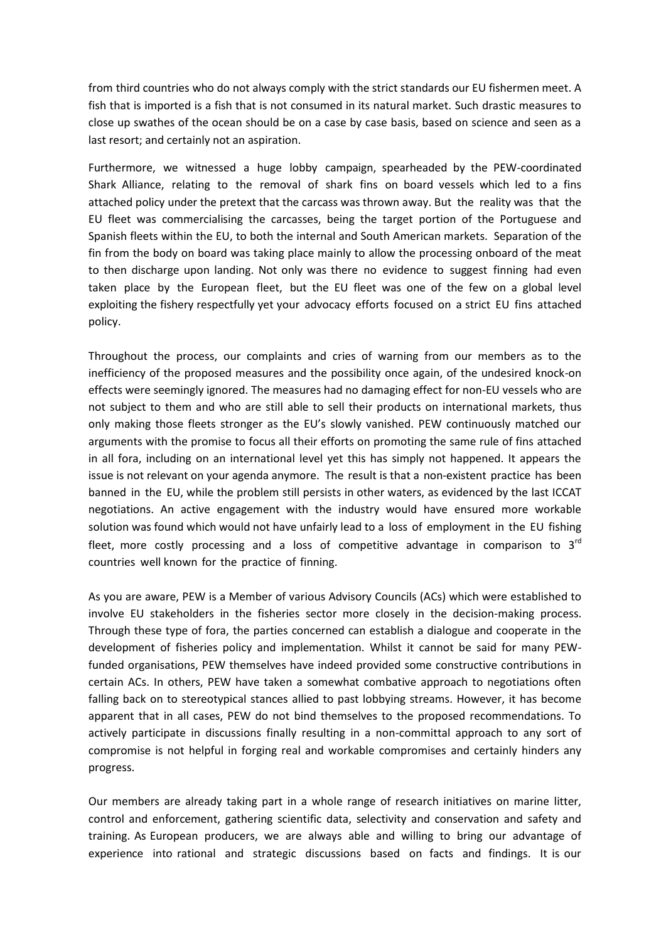from third countries who do not always comply with the strict standards our EU fishermen meet. A fish that is imported is a fish that is not consumed in its natural market. Such drastic measures to close up swathes of the ocean should be on a case by case basis, based on science and seen as a last resort; and certainly not an aspiration.

Furthermore, we witnessed a huge lobby campaign, spearheaded by the PEW-coordinated Shark Alliance, relating to the removal of shark fins on board vessels which led to a fins attached policy under the pretext that the carcass was thrown away. But the reality was that the EU fleet was commercialising the carcasses, being the target portion of the Portuguese and Spanish fleets within the EU, to both the internal and South American markets. Separation of the fin from the body on board was taking place mainly to allow the processing onboard of the meat to then discharge upon landing. Not only was there no evidence to suggest finning had even taken place by the European fleet, but the EU fleet was one of the few on a global level exploiting the fishery respectfully yet your advocacy efforts focused on a strict EU fins attached policy.

Throughout the process, our complaints and cries of warning from our members as to the inefficiency of the proposed measures and the possibility once again, of the undesired knock-on effects were seemingly ignored. The measures had no damaging effect for non-EU vessels who are not subject to them and who are still able to sell their products on international markets, thus only making those fleets stronger as the EU's slowly vanished. PEW continuously matched our arguments with the promise to focus all their efforts on promoting the same rule of fins attached in all fora, including on an international level yet this has simply not happened. It appears the issue is not relevant on your agenda anymore. The result is that a non-existent practice has been banned in the EU, while the problem still persists in other waters, as evidenced by the last ICCAT negotiations. An active engagement with the industry would have ensured more workable solution was found which would not have unfairly lead to a loss of employment in the EU fishing fleet, more costly processing and a loss of competitive advantage in comparison to  $3^{rd}$ countries well known for the practice of finning.

As you are aware, PEW is a Member of various Advisory Councils (ACs) which were established to involve EU stakeholders in the fisheries sector more closely in the decision-making process. Through these type of fora, the parties concerned can establish a dialogue and cooperate in the development of fisheries policy and implementation. Whilst it cannot be said for many PEWfunded organisations, PEW themselves have indeed provided some constructive contributions in certain ACs. In others, PEW have taken a somewhat combative approach to negotiations often falling back on to stereotypical stances allied to past lobbying streams. However, it has become apparent that in all cases, PEW do not bind themselves to the proposed recommendations. To actively participate in discussions finally resulting in a non-committal approach to any sort of compromise is not helpful in forging real and workable compromises and certainly hinders any progress.

Our members are already taking part in a whole range of research initiatives on marine litter, control and enforcement, gathering scientific data, selectivity and conservation and safety and training. As European producers, we are always able and willing to bring our advantage of experience into rational and strategic discussions based on facts and findings. It is our